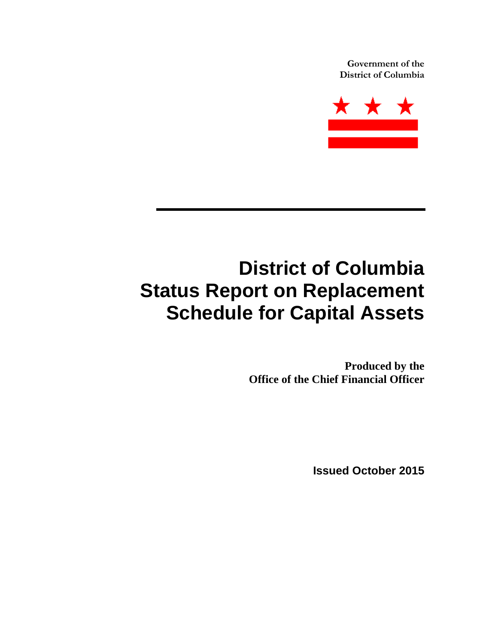**Government of the District of Columbia** 



# **District of Columbia Status Report on Replacement Schedule for Capital Assets**

**Produced by the Office of the Chief Financial Officer** 

**Issued October 2015**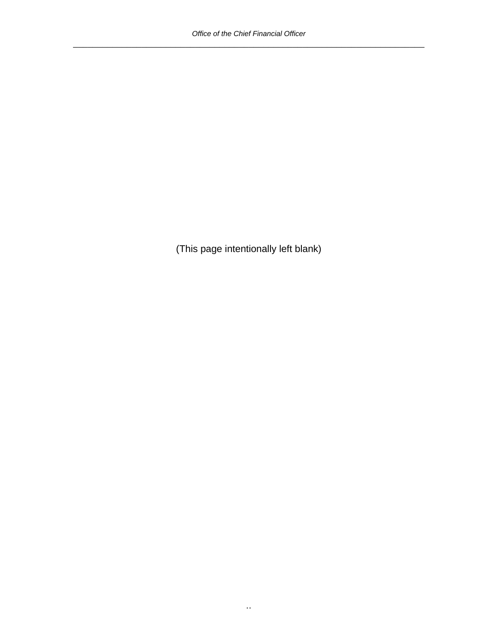(This page intentionally left blank)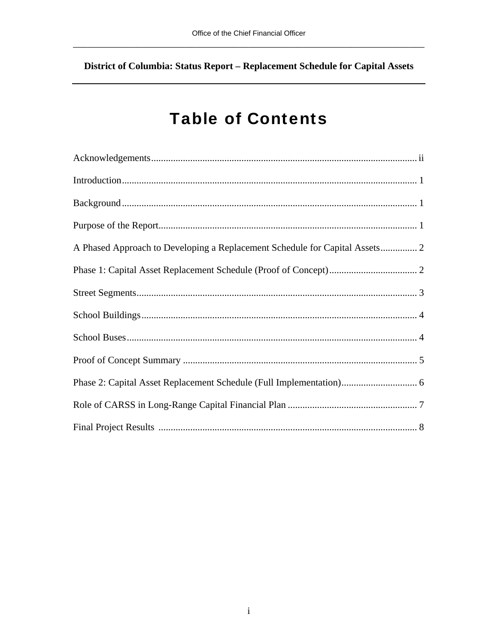District of Columbia: Status Report - Replacement Schedule for Capital Assets

## **Table of Contents**

| A Phased Approach to Developing a Replacement Schedule for Capital Assets 2 |  |
|-----------------------------------------------------------------------------|--|
|                                                                             |  |
|                                                                             |  |
|                                                                             |  |
|                                                                             |  |
|                                                                             |  |
|                                                                             |  |
|                                                                             |  |
|                                                                             |  |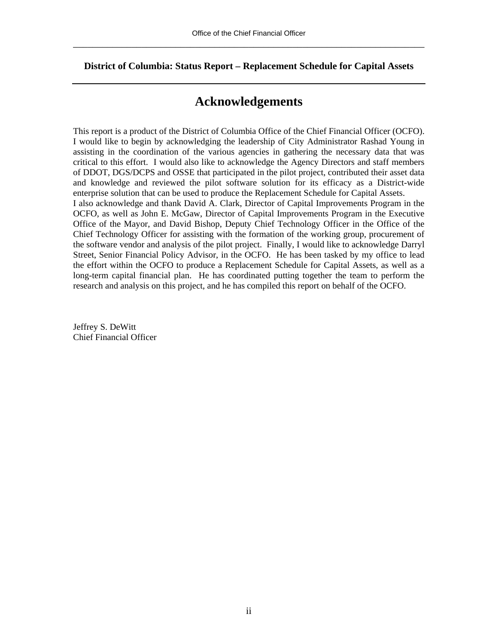#### **District of Columbia: Status Report – Replacement Schedule for Capital Assets**

## **Acknowledgements**

This report is a product of the District of Columbia Office of the Chief Financial Officer (OCFO). I would like to begin by acknowledging the leadership of City Administrator Rashad Young in assisting in the coordination of the various agencies in gathering the necessary data that was critical to this effort. I would also like to acknowledge the Agency Directors and staff members of DDOT, DGS/DCPS and OSSE that participated in the pilot project, contributed their asset data and knowledge and reviewed the pilot software solution for its efficacy as a District-wide enterprise solution that can be used to produce the Replacement Schedule for Capital Assets. I also acknowledge and thank David A. Clark, Director of Capital Improvements Program in the OCFO, as well as John E. McGaw, Director of Capital Improvements Program in the Executive Office of the Mayor, and David Bishop, Deputy Chief Technology Officer in the Office of the Chief Technology Officer for assisting with the formation of the working group, procurement of the software vendor and analysis of the pilot project. Finally, I would like to acknowledge Darryl Street, Senior Financial Policy Advisor, in the OCFO. He has been tasked by my office to lead the effort within the OCFO to produce a Replacement Schedule for Capital Assets, as well as a long-term capital financial plan. He has coordinated putting together the team to perform the research and analysis on this project, and he has compiled this report on behalf of the OCFO.

Jeffrey S. DeWitt Chief Financial Officer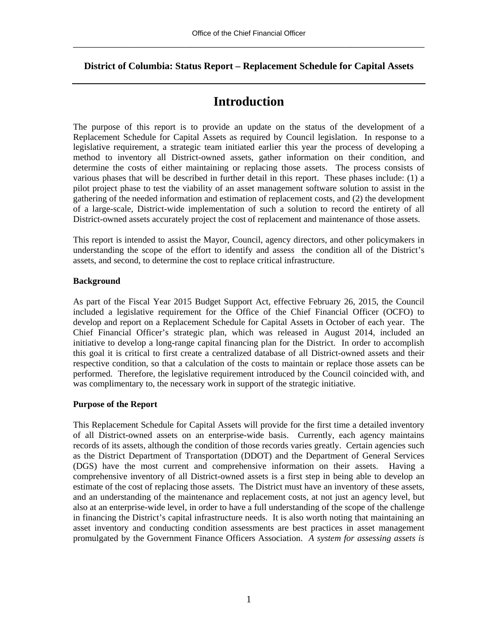#### **District of Columbia: Status Report – Replacement Schedule for Capital Assets**

### **Introduction**

The purpose of this report is to provide an update on the status of the development of a Replacement Schedule for Capital Assets as required by Council legislation. In response to a legislative requirement, a strategic team initiated earlier this year the process of developing a method to inventory all District-owned assets, gather information on their condition, and determine the costs of either maintaining or replacing those assets. The process consists of various phases that will be described in further detail in this report. These phases include: (1) a pilot project phase to test the viability of an asset management software solution to assist in the gathering of the needed information and estimation of replacement costs, and (2) the development of a large-scale, District-wide implementation of such a solution to record the entirety of all District-owned assets accurately project the cost of replacement and maintenance of those assets.

This report is intended to assist the Mayor, Council, agency directors, and other policymakers in understanding the scope of the effort to identify and assess the condition all of the District's assets, and second, to determine the cost to replace critical infrastructure.

#### **Background**

As part of the Fiscal Year 2015 Budget Support Act, effective February 26, 2015, the Council included a legislative requirement for the Office of the Chief Financial Officer (OCFO) to develop and report on a Replacement Schedule for Capital Assets in October of each year. The Chief Financial Officer's strategic plan, which was released in August 2014, included an initiative to develop a long-range capital financing plan for the District. In order to accomplish this goal it is critical to first create a centralized database of all District-owned assets and their respective condition, so that a calculation of the costs to maintain or replace those assets can be performed. Therefore, the legislative requirement introduced by the Council coincided with, and was complimentary to, the necessary work in support of the strategic initiative.

#### **Purpose of the Report**

This Replacement Schedule for Capital Assets will provide for the first time a detailed inventory of all District-owned assets on an enterprise-wide basis. Currently, each agency maintains records of its assets, although the condition of those records varies greatly. Certain agencies such as the District Department of Transportation (DDOT) and the Department of General Services (DGS) have the most current and comprehensive information on their assets. Having a comprehensive inventory of all District-owned assets is a first step in being able to develop an estimate of the cost of replacing those assets. The District must have an inventory of these assets, and an understanding of the maintenance and replacement costs, at not just an agency level, but also at an enterprise-wide level, in order to have a full understanding of the scope of the challenge in financing the District's capital infrastructure needs. It is also worth noting that maintaining an asset inventory and conducting condition assessments are best practices in asset management promulgated by the Government Finance Officers Association. *A system for assessing assets is*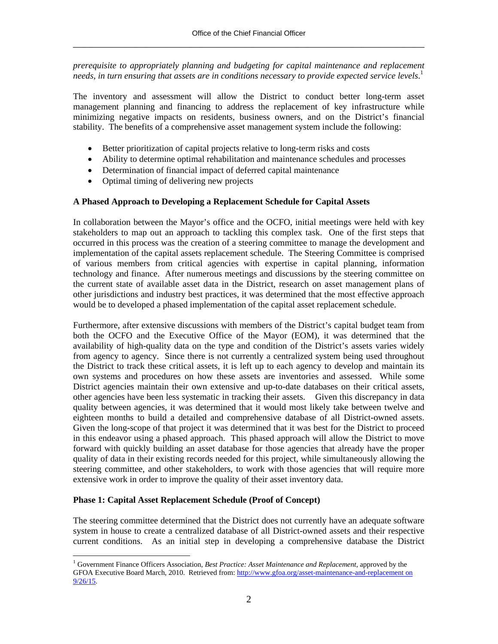*prerequisite to appropriately planning and budgeting for capital maintenance and replacement needs, in turn ensuring that assets are in conditions necessary to provide expected service levels*. 1

The inventory and assessment will allow the District to conduct better long-term asset management planning and financing to address the replacement of key infrastructure while minimizing negative impacts on residents, business owners, and on the District's financial stability. The benefits of a comprehensive asset management system include the following:

- Better prioritization of capital projects relative to long-term risks and costs
- Ability to determine optimal rehabilitation and maintenance schedules and processes
- Determination of financial impact of deferred capital maintenance
- Optimal timing of delivering new projects

#### **A Phased Approach to Developing a Replacement Schedule for Capital Assets**

In collaboration between the Mayor's office and the OCFO, initial meetings were held with key stakeholders to map out an approach to tackling this complex task. One of the first steps that occurred in this process was the creation of a steering committee to manage the development and implementation of the capital assets replacement schedule. The Steering Committee is comprised of various members from critical agencies with expertise in capital planning, information technology and finance. After numerous meetings and discussions by the steering committee on the current state of available asset data in the District, research on asset management plans of other jurisdictions and industry best practices, it was determined that the most effective approach would be to developed a phased implementation of the capital asset replacement schedule.

Furthermore, after extensive discussions with members of the District's capital budget team from both the OCFO and the Executive Office of the Mayor (EOM), it was determined that the availability of high-quality data on the type and condition of the District's assets varies widely from agency to agency. Since there is not currently a centralized system being used throughout the District to track these critical assets, it is left up to each agency to develop and maintain its own systems and procedures on how these assets are inventories and assessed. While some District agencies maintain their own extensive and up-to-date databases on their critical assets, other agencies have been less systematic in tracking their assets. Given this discrepancy in data quality between agencies, it was determined that it would most likely take between twelve and eighteen months to build a detailed and comprehensive database of all District-owned assets. Given the long-scope of that project it was determined that it was best for the District to proceed in this endeavor using a phased approach. This phased approach will allow the District to move forward with quickly building an asset database for those agencies that already have the proper quality of data in their existing records needed for this project, while simultaneously allowing the steering committee, and other stakeholders, to work with those agencies that will require more extensive work in order to improve the quality of their asset inventory data.

#### **Phase 1: Capital Asset Replacement Schedule (Proof of Concept)**

 $\overline{a}$ 

The steering committee determined that the District does not currently have an adequate software system in house to create a centralized database of all District-owned assets and their respective current conditions. As an initial step in developing a comprehensive database the District

<sup>&</sup>lt;sup>1</sup> Government Finance Officers Association, *Best Practice: Asset Maintenance and Replacement*, approved by the GFOA Executive Board March, 2010. Retrieved from: http://www.gfoa.org/asset-maintenance-and-replacement on  $9/26/15$ .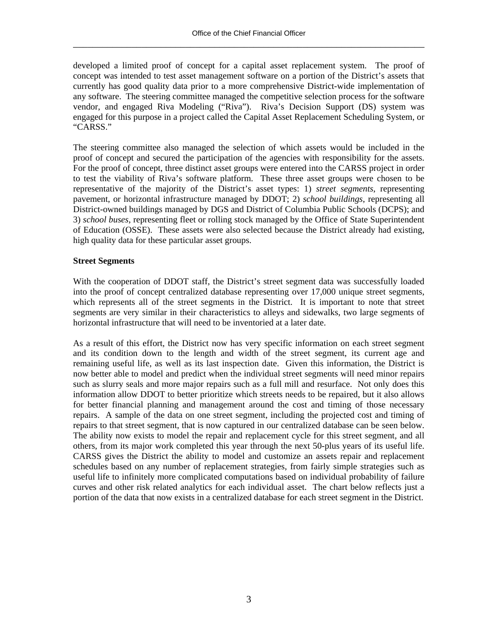developed a limited proof of concept for a capital asset replacement system. The proof of concept was intended to test asset management software on a portion of the District's assets that currently has good quality data prior to a more comprehensive District-wide implementation of any software. The steering committee managed the competitive selection process for the software vendor, and engaged Riva Modeling ("Riva"). Riva's Decision Support (DS) system was engaged for this purpose in a project called the Capital Asset Replacement Scheduling System, or "CARSS."

The steering committee also managed the selection of which assets would be included in the proof of concept and secured the participation of the agencies with responsibility for the assets. For the proof of concept, three distinct asset groups were entered into the CARSS project in order to test the viability of Riva's software platform. These three asset groups were chosen to be representative of the majority of the District's asset types: 1) *street segments*, representing pavement, or horizontal infrastructure managed by DDOT; 2) *school buildings*, representing all District-owned buildings managed by DGS and District of Columbia Public Schools (DCPS); and 3) *school buses*, representing fleet or rolling stock managed by the Office of State Superintendent of Education (OSSE). These assets were also selected because the District already had existing, high quality data for these particular asset groups.

#### **Street Segments**

With the cooperation of DDOT staff, the District's street segment data was successfully loaded into the proof of concept centralized database representing over 17,000 unique street segments, which represents all of the street segments in the District. It is important to note that street segments are very similar in their characteristics to alleys and sidewalks, two large segments of horizontal infrastructure that will need to be inventoried at a later date.

As a result of this effort, the District now has very specific information on each street segment and its condition down to the length and width of the street segment, its current age and remaining useful life, as well as its last inspection date. Given this information, the District is now better able to model and predict when the individual street segments will need minor repairs such as slurry seals and more major repairs such as a full mill and resurface. Not only does this information allow DDOT to better prioritize which streets needs to be repaired, but it also allows for better financial planning and management around the cost and timing of those necessary repairs. A sample of the data on one street segment, including the projected cost and timing of repairs to that street segment, that is now captured in our centralized database can be seen below. The ability now exists to model the repair and replacement cycle for this street segment, and all others, from its major work completed this year through the next 50-plus years of its useful life. CARSS gives the District the ability to model and customize an assets repair and replacement schedules based on any number of replacement strategies, from fairly simple strategies such as useful life to infinitely more complicated computations based on individual probability of failure curves and other risk related analytics for each individual asset. The chart below reflects just a portion of the data that now exists in a centralized database for each street segment in the District.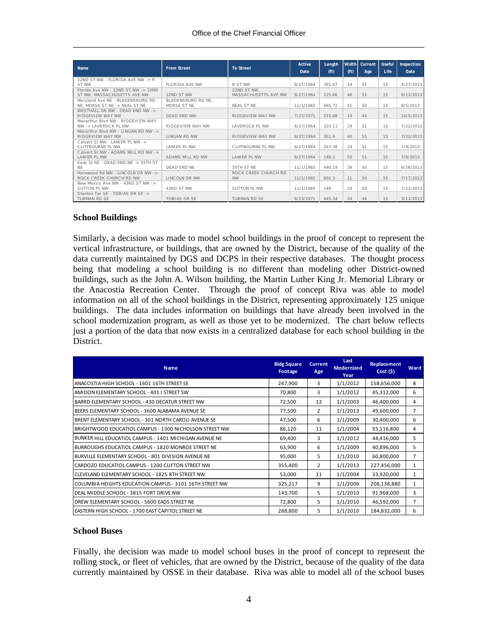#### Office of the Chief Financial Officer \_\_\_\_\_\_\_\_\_\_\_\_\_\_\_\_\_\_\_\_\_\_\_\_\_\_\_\_\_\_\_\_\_\_\_\_\_\_\_\_\_\_\_\_\_\_\_\_\_\_\_\_\_\_\_\_\_\_\_\_\_\_\_\_\_\_\_\_\_\_\_\_

| Name                                | <b>From Street</b>        | <b>To Street</b>       | Active<br>Date | Length<br>(f <sup>t</sup> ) | (f <sup>t</sup> ) | <b>Width</b> Current<br>Age | <b>Useful</b><br>Life | Inspection<br>Date |
|-------------------------------------|---------------------------|------------------------|----------------|-----------------------------|-------------------|-----------------------------|-----------------------|--------------------|
| 22ND ST NW - FLORIDA AVE NW -> R    |                           |                        |                |                             |                   |                             |                       |                    |
| ST NW                               | FLORIDA AVE NW            | R ST NW                | 8/27/1964      | 391.67                      | 14                | 51                          | 15                    | 4/27/2013          |
| Florida Ave NW - 22ND ST NW -> 22ND |                           | 22ND ST NW.            |                |                             |                   |                             |                       |                    |
| ST NW. MASSACHUSETTS AVE NW         | 22ND ST NW                | MASSACHUSFTTS AVF NW   | 8/27/1964      | 125.66                      | 48                | 51                          | 15                    | 8/11/2013          |
| Maryland Ave NE - BLADENSBURG RD    | <b>BLADENSBURG RD NE.</b> |                        |                |                             |                   |                             |                       |                    |
| NE, MORSE ST NE -> NEAL ST NE       | MORSE ST NF               | NFAI ST NF             | 11/1/1965      | 665.72                      | 51                | 50                          | 15                    | 8/5/2013           |
| WESTHALL DR NW - DEAD FND NW ->     |                           |                        |                |                             |                   |                             |                       |                    |
| <b>RIDGEVIEW WAY NW</b>             | DEAD FND NW               | RIDGEVIEW WAY NW       | 7/27/1971      | 215.68                      | 14                | 44                          | 15                    | 10/5/2013          |
| Macarthur Blvd NW - RIDGEVIEW WAY   |                           |                        |                |                             |                   |                             |                       |                    |
| NW -> LAVEROCK PL NW                | RIDGEVIEW WAY NW          | <b>I AVEROCK PL NW</b> | 8/27/1964      | 320.11                      | 24                | 51                          | 15                    | 7/22/2013          |
| Macarthur Blvd NW - LINGAN RD NW -> |                           |                        |                |                             |                   |                             |                       |                    |
| RIDGEVIEW WAY NW                    | <b>I INGAN RD NW</b>      | RIDGEVIEW WAY NW       | 8/27/1964      | 351.9                       | 40                | 51                          | 15                    | 7/22/2013          |
| Calvert St NW - LANIFR PL NW ->     |                           |                        |                |                             |                   |                             |                       |                    |
| CLIFFBOURNE PL NW                   | <b>LANIER PL NW</b>       | CLIFFBOURNE PL NW      | 8/27/1964      | 267.36                      | 24                | 51                          | 15                    | 7/9/2013           |
| Calvert St NW - ADAMS MILL RD NW -> |                           |                        |                |                             |                   |                             |                       |                    |
| <b>LANIER PL NW</b>                 | ADAMS MILL RD NW          | <b>LANIFR PL NW</b>    | 8/27/1964      | 148.1                       | 56                | 51                          | 15                    | 7/9/2013           |
| Eads St NE - DEAD END NE -> 55TH ST |                           |                        |                |                             |                   |                             |                       |                    |
| <b>NF</b>                           | DEAD FND NF               | 55TH ST NF             | 11/1/1965      | 440.19                      | 34                | 50                          | 15                    | 6/28/2013          |
| Harewood Rd NW - LINCOLN DR NW ->   |                           | ROCK CREEK CHURCH RD   |                |                             |                   |                             |                       |                    |
| ROCK CREEK CHURCH RD NW             | LINCOLN DR NW             | <b>NW</b>              | 11/1/1965      | 802.3                       | 11                | $50 -$                      | 15                    | 7/17/2013          |
| New Mexico Ave NW - 43RD ST NW ->   |                           |                        |                |                             |                   |                             |                       |                    |
| <b>SUTTON PL NW</b>                 | 43RD ST NW                | SUTTON PL NW           | 11/1/1965      | 148                         | 24                | 50                          | 15                    | 7/22/2013          |
| Stanton Ter SE - TOBIAS DR SE ->    |                           |                        |                |                             |                   |                             |                       |                    |
| TUBMAN RD SE                        | <b>TOBIAS DR SE</b>       | <b>TUBMAN RD SE</b>    | 8/23/1971      | 445.34                      | 24                | 44                          | 15                    | 3/11/2013          |

#### **School Buildings**

Similarly, a decision was made to model school buildings in the proof of concept to represent the vertical infrastructure, or buildings, that are owned by the District, because of the quality of the data currently maintained by DGS and DCPS in their respective databases. The thought process being that modeling a school building is no different than modeling other District-owned buildings, such as the John A. Wilson building, the Martin Luther King Jr. Memorial Library or the Anacostia Recreation Center. Through the proof of concept Riva was able to model information on all of the school buildings in the District, representing approximately 125 unique buildings. The data includes information on buildings that have already been involved in the school modernization program, as well as those yet to be modernized. The chart below reflects just a portion of the data that now exists in a centralized database for each school building in the District.

| <b>Name</b>                                              | <b>Bldg Square</b><br>Footage | <b>Current</b><br>Age | Last<br><b>Modernized</b><br>Year | Replacement<br>Cost(5) | Ward           |
|----------------------------------------------------------|-------------------------------|-----------------------|-----------------------------------|------------------------|----------------|
| ANACOSTIA HIGH SCHOOL - 1601 16TH STREET SE              | 247,900                       | 3                     | 1/1/2012                          | 158,656,000            | 8              |
| AMIDON ELEMENTARY SCHOOL - 401 I STREET SW               | 70,800                        | 3                     | 1/1/2012                          | 45,312,000             | 6              |
| BARRD ELEMENTARY SCHOOL - 430 DECATUR STREET NW          | 72,500                        | 12                    | 1/1/2003                          | 46,400,000             | 4              |
| BEERS ELEMENTARY SCHOOL - 3600 ALABAMA AVENUE SE         | 77,500                        | $\overline{2}$        | 1/1/2013                          | 49,600,000             | 7              |
| BRENT ELEMENTARY SCHOOL - 301 NORTH CAROLI AVENUE SE     | 47,500                        | 6                     | 1/1/2009                          | 30,400,000             | 6              |
| BRIGHTWOOD EDUCATIOL CAMPUS - 1300 NICHOLSON STREET NW   | 86,120                        | 11                    | 1/1/2004                          | 55,116,800             | 4              |
| BUNKER HILL EDUCATIOL CAMPUS - 1401 MICHIGAN AVENUE NE   | 69,400                        | 3                     | 1/1/2012                          | 44,416,000             | 5              |
| BURROUGHS EDUCATIOL CAMPUS - 1820 MONROE STREET NE       | 63,900                        | 6                     | 1/1/2009                          | 40,896,000             | 5              |
| BURVILLE ELEMENTARY SCHOOL - 801 DIVISION AVENUE NE      | 95,000                        | 5                     | 1/1/2010                          | 60,800,000             | $\overline{7}$ |
| CARDOZO EDUCATIOL CAMPUS - 1200 CLIFTON STREET NW        | 355,400                       | 2                     | 1/1/2013                          | 227,456,000            | 1              |
| <b>ICLEVELAND ELEMENTARY SCHOOL - 1825 8TH STREET NW</b> | 53,000                        | 11                    | 1/1/2004                          | 33,920,000             | 1              |
| COLUMBIA HEIGHTS EDUCATION CAMPUS - 3101 16TH STREET NW  | 325,217                       | 9                     | 1/1/2006                          | 208,138,880            | $\mathbf{1}$   |
| DEAL MIDDLE SCHOOL - 3815 FORT DRIVE NW                  | 143,700                       | 5                     | 1/1/2010                          | 91,968,000             | 3              |
| <b>IDREW ELEMENTARY SCHOOL - 5600 EADS STREET NE</b>     | 72,800                        | 5                     | 1/1/2010                          | 46,592,000             | 7              |
| EASTERN HIGH SCHOOL - 1700 EAST CAPITOL STREET NE        | 288,800                       | 5                     | 1/1/2010                          | 184,832,000            | 6              |

#### **School Buses**

Finally, the decision was made to model school buses in the proof of concept to represent the rolling stock, or fleet of vehicles, that are owned by the District, because of the quality of the data currently maintained by OSSE in their database. Riva was able to model all of the school buses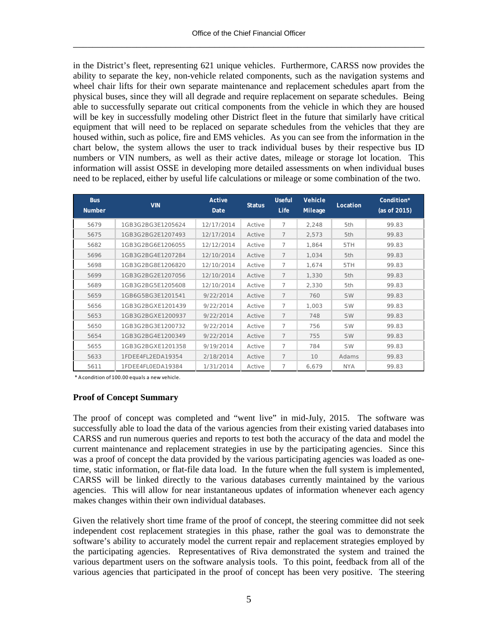in the District's fleet, representing 621 unique vehicles. Furthermore, CARSS now provides the ability to separate the key, non-vehicle related components, such as the navigation systems and wheel chair lifts for their own separate maintenance and replacement schedules apart from the physical buses, since they will all degrade and require replacement on separate schedules. Being able to successfully separate out critical components from the vehicle in which they are housed will be key in successfully modeling other District fleet in the future that similarly have critical equipment that will need to be replaced on separate schedules from the vehicles that they are housed within, such as police, fire and EMS vehicles. As you can see from the information in the chart below, the system allows the user to track individual buses by their respective bus ID numbers or VIN numbers, as well as their active dates, mileage or storage lot location. This information will assist OSSE in developing more detailed assessments on when individual buses need to be replaced, either by useful life calculations or mileage or some combination of the two.

| <b>Bus</b><br><b>Number</b> | <b>VIN</b>        | Active<br>Date | <b>Status</b> | <b>Useful</b><br><b>Life</b> | Vehicle<br>Mileage | Location   | Condition*<br>$\sqrt{a}$ of 2015) |
|-----------------------------|-------------------|----------------|---------------|------------------------------|--------------------|------------|-----------------------------------|
| 5679                        | 1GB3G2BG3E1205624 | 12/17/2014     | Active        | $\overline{7}$               | 2,248              | 5th        | 99.83                             |
| 5675                        | 1GB3G2BG2E1207493 | 12/17/2014     | Active        | $\overline{7}$               | 2,573              | 5th        | 99.83                             |
| 5682                        | 1GB3G2BG6E1206055 | 12/12/2014     | Active        | 7                            | 1,864              | 5TH        | 99.83                             |
| 5696                        | 1GB3G2BG4E1207284 | 12/10/2014     | Active        | $\overline{7}$               | 1,034              | 5th        | 99.83                             |
| 5698                        | 1GB3G2BG8E1206820 | 12/10/2014     | Active        | 7                            | 1,674              | 5TH        | 99.83                             |
| 5699                        | 1GB3G2BG2E1207056 | 12/10/2014     | Active        | $\overline{7}$               | 1,330              | 5th        | 99.83                             |
| 5689                        | 1GB3G2BG5E1205608 | 12/10/2014     | Active        | $\overline{7}$               | 2,330              | 5th        | 99.83                             |
| 5659                        | 1GB6G5BG3E1201541 | 9/22/2014      | Active        | $\overline{7}$               | 760                | <b>SW</b>  | 99.83                             |
| 5656                        | 1GB3G2BGXE1201439 | 9/22/2014      | Active        | $\overline{7}$               | 1,003              | <b>SW</b>  | 99.83                             |
| 5653                        | 1GB3G2BGXE1200937 | 9/22/2014      | Active        | $\overline{7}$               | 748                | <b>SW</b>  | 99.83                             |
| 5650                        | 1GB3G2BG3E1200732 | 9/22/2014      | Active        | $\overline{7}$               | 756                | <b>SW</b>  | 99.83                             |
| 5654                        | 1GB3G2BG4E1200349 | 9/22/2014      | Active        | $\overline{7}$               | 755                | <b>SW</b>  | 99.83                             |
| 5655                        | 1GB3G2BGXE1201358 | 9/19/2014      | Active        | 7                            | 784                | <b>SW</b>  | 99.83                             |
| 5633                        | 1FDEE4FL2EDA19354 | 2/18/2014      | Active        | $\overline{7}$               | 10                 | Adams      | 99.83                             |
| 5611                        | 1FDEE4FL0EDA19384 | 1/31/2014      | Active        | 7                            | 6,679              | <b>NYA</b> | 99.83                             |

\*A condition of 100.00 equals a new vehicle.

#### **Proof of Concept Summary**

The proof of concept was completed and "went live" in mid-July, 2015. The software was successfully able to load the data of the various agencies from their existing varied databases into CARSS and run numerous queries and reports to test both the accuracy of the data and model the current maintenance and replacement strategies in use by the participating agencies. Since this was a proof of concept the data provided by the various participating agencies was loaded as onetime, static information, or flat-file data load. In the future when the full system is implemented, CARSS will be linked directly to the various databases currently maintained by the various agencies. This will allow for near instantaneous updates of information whenever each agency makes changes within their own individual databases.

Given the relatively short time frame of the proof of concept, the steering committee did not seek independent cost replacement strategies in this phase, rather the goal was to demonstrate the software's ability to accurately model the current repair and replacement strategies employed by the participating agencies. Representatives of Riva demonstrated the system and trained the various department users on the software analysis tools. To this point, feedback from all of the various agencies that participated in the proof of concept has been very positive. The steering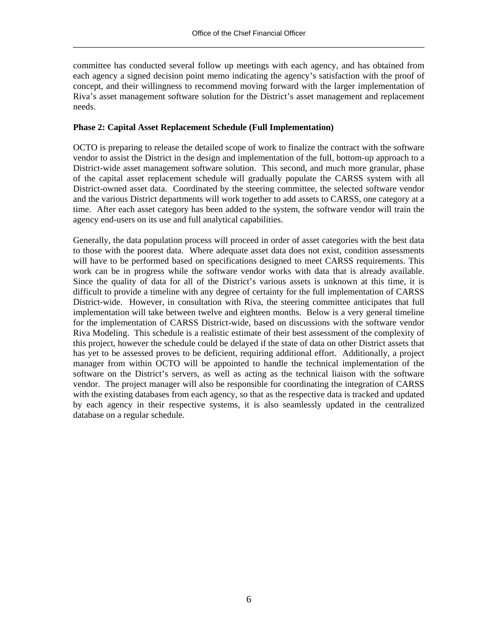committee has conducted several follow up meetings with each agency, and has obtained from each agency a signed decision point memo indicating the agency's satisfaction with the proof of concept, and their willingness to recommend moving forward with the larger implementation of Riva's asset management software solution for the District's asset management and replacement needs.

#### **Phase 2: Capital Asset Replacement Schedule (Full Implementation)**

OCTO is preparing to release the detailed scope of work to finalize the contract with the software vendor to assist the District in the design and implementation of the full, bottom-up approach to a District-wide asset management software solution. This second, and much more granular, phase of the capital asset replacement schedule will gradually populate the CARSS system with all District-owned asset data. Coordinated by the steering committee, the selected software vendor and the various District departments will work together to add assets to CARSS, one category at a time. After each asset category has been added to the system, the software vendor will train the agency end-users on its use and full analytical capabilities.

Generally, the data population process will proceed in order of asset categories with the best data to those with the poorest data. Where adequate asset data does not exist, condition assessments will have to be performed based on specifications designed to meet CARSS requirements. This work can be in progress while the software vendor works with data that is already available. Since the quality of data for all of the District's various assets is unknown at this time, it is difficult to provide a timeline with any degree of certainty for the full implementation of CARSS District-wide. However, in consultation with Riva, the steering committee anticipates that full implementation will take between twelve and eighteen months. Below is a very general timeline for the implementation of CARSS District-wide, based on discussions with the software vendor Riva Modeling. This schedule is a realistic estimate of their best assessment of the complexity of this project, however the schedule could be delayed if the state of data on other District assets that has yet to be assessed proves to be deficient, requiring additional effort. Additionally, a project manager from within OCTO will be appointed to handle the technical implementation of the software on the District's servers, as well as acting as the technical liaison with the software vendor. The project manager will also be responsible for coordinating the integration of CARSS with the existing databases from each agency, so that as the respective data is tracked and updated by each agency in their respective systems, it is also seamlessly updated in the centralized database on a regular schedule.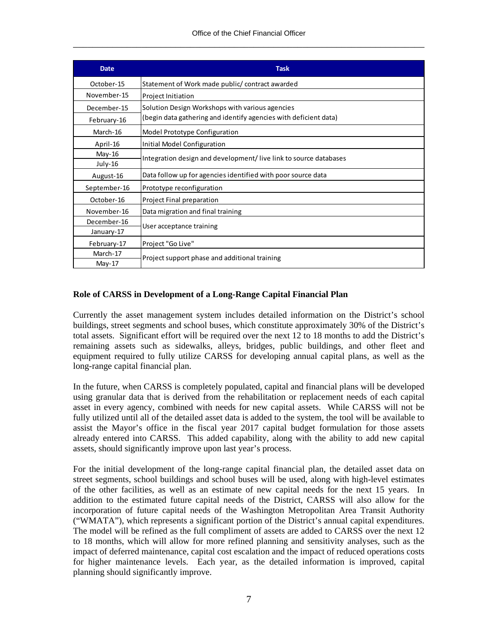| <b>Date</b>  | <b>Task</b>                                                      |  |  |  |  |
|--------------|------------------------------------------------------------------|--|--|--|--|
| October-15   | Statement of Work made public/ contract awarded                  |  |  |  |  |
| November-15  | Project Initiation                                               |  |  |  |  |
| December-15  | Solution Design Workshops with various agencies                  |  |  |  |  |
| February-16  | (begin data gathering and identify agencies with deficient data) |  |  |  |  |
| March-16     | Model Prototype Configuration                                    |  |  |  |  |
| April-16     | Initial Model Configuration                                      |  |  |  |  |
| May-16       | Integration design and development/live link to source databases |  |  |  |  |
| July-16      |                                                                  |  |  |  |  |
| August-16    | Data follow up for agencies identified with poor source data     |  |  |  |  |
| September-16 | Prototype reconfiguration                                        |  |  |  |  |
| October-16   | Project Final preparation                                        |  |  |  |  |
| November-16  | Data migration and final training                                |  |  |  |  |
| December-16  |                                                                  |  |  |  |  |
| January-17   | User acceptance training                                         |  |  |  |  |
| February-17  | Project "Go Live"                                                |  |  |  |  |
| March-17     | Project support phase and additional training                    |  |  |  |  |
| $May-17$     |                                                                  |  |  |  |  |

#### **Role of CARSS in Development of a Long-Range Capital Financial Plan**

Currently the asset management system includes detailed information on the District's school buildings, street segments and school buses, which constitute approximately 30% of the District's total assets. Significant effort will be required over the next 12 to 18 months to add the District's remaining assets such as sidewalks, alleys, bridges, public buildings, and other fleet and equipment required to fully utilize CARSS for developing annual capital plans, as well as the long-range capital financial plan.

In the future, when CARSS is completely populated, capital and financial plans will be developed using granular data that is derived from the rehabilitation or replacement needs of each capital asset in every agency, combined with needs for new capital assets. While CARSS will not be fully utilized until all of the detailed asset data is added to the system, the tool will be available to assist the Mayor's office in the fiscal year 2017 capital budget formulation for those assets already entered into CARSS. This added capability, along with the ability to add new capital assets, should significantly improve upon last year's process.

For the initial development of the long-range capital financial plan, the detailed asset data on street segments, school buildings and school buses will be used, along with high-level estimates of the other facilities, as well as an estimate of new capital needs for the next 15 years. In addition to the estimated future capital needs of the District, CARSS will also allow for the incorporation of future capital needs of the Washington Metropolitan Area Transit Authority ("WMATA"), which represents a significant portion of the District's annual capital expenditures. The model will be refined as the full compliment of assets are added to CARSS over the next 12 to 18 months, which will allow for more refined planning and sensitivity analyses, such as the impact of deferred maintenance, capital cost escalation and the impact of reduced operations costs for higher maintenance levels. Each year, as the detailed information is improved, capital planning should significantly improve.